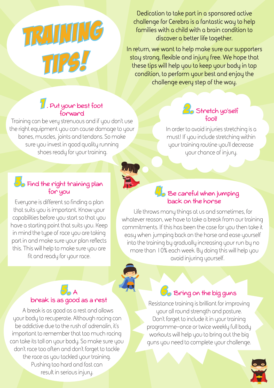**TRAINING** tips!

**Dedication to take part in a sponsored active challenge for Cerebra is a fantastic way to help families with a child with a brain condition to discover a better life together.**

**In return, we want to help make sure our supporters stay strong, flexible and injury free. We hope that these tips will help you to keep your body in top condition, to perform your best and enjoy the challenge every step of the way.**

### 1 . Put your best foot forward

Training can be very strenuous and if you don't use the right equipment you can cause damage to your bones, muscles, joints and tendons. So make sure you invest in good quality running shoes ready for your training.

### $\mathbf{3}_{\bullet}$  Find the right training plan for you

Everyone is different so finding a plan that suits you is important. Know your capabilities before you start so that you have a starting point that suits you. Keep in mind the type of race you are taking part in and make sure your plan reflects this. This will help to make sure you are fit and ready for your race.

### 5.<br>**5.**<br>A break is as good as a rest

A break is as good as a rest and allows your body to recuperate. Although racing can be addictive due to the rush of adrenalin, it's important to remember that too much racing can take its toll on your body. So make sure you don't race too often and don't forget to tackle the race as you tackled your training. Pushing too hard and fast can result in serious injury.

#### 2. Stretch yo'self fool!

In order to avoid injuries stretching is a must! If you include stretching within your training routine you'll decrease your chance of injury.

### $4.8$ e careful when jumping back on the horse

Life throws many things at us and sometimes, for whatever reason, we have to take a break from our training commitments. If this has been the case for you then take it easy when jumping back on the horse and ease yourself into the training by gradually increasing your run by no more than 10% each week. By doing this will help you avoid injuring yourself.



WINS

### 6. Bring on the big guns

Resistance training is brilliant for improving your all round strength and posture. Don't forget to include it in your training programme–once or twice weekly full body workouts will help you to bring out the big guns you need to complete your challenge.